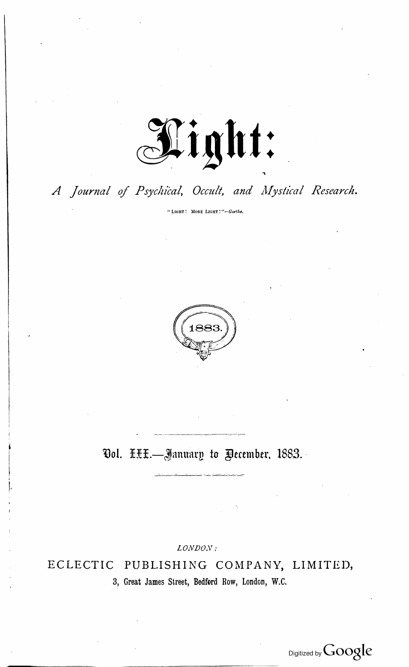

## A Journal of Psychical, Occult, and Mystical Research.

"LIGHT! MORE LIGHT!"-Goethe.



## Ool. HHH.-January to Pecember, 1883.

LONDON:

PUBLISHING COMPANY, LIMITED, ECLECTIC 3, Great James Street, Bedford Row, London, W.C.

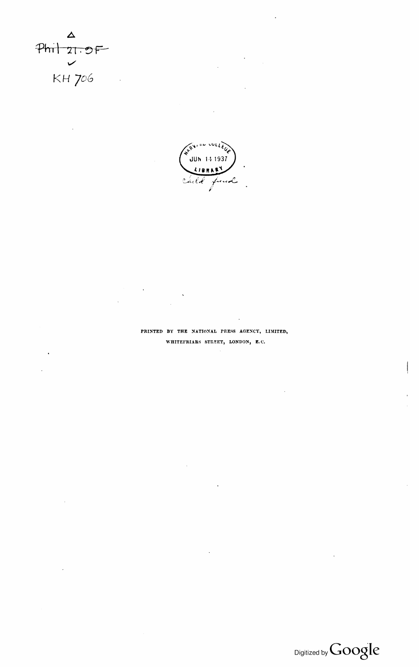$\Delta$  $Phit$   $21.9F$  $\checkmark$ KH 706



 $\epsilon_{\rm{eff}}$ 

## PRINTED BY THE NATIONAL PRESS AGENCY, LIMITED, WHITEFRIARS STREET, LONDON, E.C.

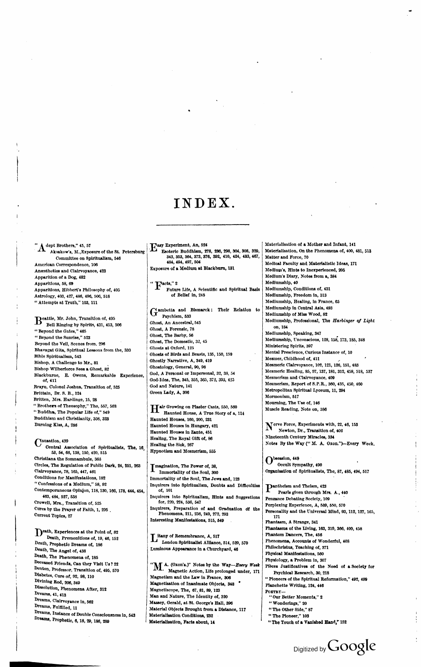${\bf A}^{\rm{dept\, Brothers,''\,45,\,57}}$ Aksakow's, M., Exposure of the St. Petersburg Committee on Spiritualism, 546 American Correspondence, 106 Anæsthetics and Clairvoyance, 423 Apparition of a Dog, 482 Apparitions, 58, 69 Apparitions, Hibbert's Philosophy of, 405 Astrology, 403, 427, 486, 496, 506, 518 " Attempts at Truth," 103, 111

Beattle, Mr. John, Transition of, 495 Bell Ringing by Spirits, 431, 453, 506 "Beyond the Gates," 465 "Beyond the Sunrise," 523 Beyond the Veil, Scenes from, 296 Bhavagat Gita, Spiritual Lessons from the, 330 Bible Spiritualism, 543 Bishop, A Challenge to Mr., 81 Bishop Wilberforce Sees a Ghost, 82 Blackburne, E. Owens, Remarkable Experience, of, 411 Brayn, Colonel Joshua, Transition of, 525 Brittain, Dr. S. B., 124 Britten, Mrs. Hardinge, 15, 28 "Brothers of Theosophy," The, 557, 568<br>"Buddha, The Popular Life of," 549 Buddhism and Christianity, 308, 323

Burning Kiss, A, 288

 $\mathbf{C}^{\text{ausation, 439}}$ Central Association of Spiritualists, The, 16,<br>53, 54, 66, 138, 150, 420, 515 Christiana the Somnambule, 363 Circles, The Regulation of Public Dark, 24, 251, 263 Clairvoyance, 78, 165, 447, 461 Conditions for Manifestations, 182 "Confessions of a Medium," 58, 92 Contemporaneous Opinion, 118, 130, 166, 178, 444, 454, 463, 484, 527, 538 Crowell, Mrs., Transition of, 525 Cures by the Prayer of Faith, 1, 295. Current Topics, 27

Death, Experiences at the Point of, 82 Death, Premonitions of, 19, 46, 152 Death, Prophetic Dreams of, 186 Death, The Angel of, 438 Death, The Phenomena of, 185 Deceased Friends, Can they Visit Us? 22 Denton, Professor, Transition of, 495, 570 Diabetes, Cure of, 92, 98, 110 Divining Rod, 206, 349 Dissolution, Phenomena After, 312 Dreams, 41, 413 Dreams, Clairvoyance in, 562 Dreams, Fulfilled, 11 Dreams, Instance of Double Consciousness in, 543 Dreams, Prophetic, 6, 18, 29, 186, 289

## INDEX.

Hasy Experiment, An, 524 Esoteric Buddhism, 278, 296, 298, 304, 308, 329,<br>343, 353, 364, 373, 376, 392, 410, 424, 433, 467, 484, 494, 497, 504 Exposure of a Medium at Blackburn, 131

 $\mathbf{F}^{\textup{acts,'' 2}}$ Future Life, A Scientific and Spiritual Basis of Bellef in. 245

Gambetta and Bismarck: Their Relation to Psychism, 533 Ghost, An Ancestral, 545 Ghost, A Forensic, 78 Ghost, The Barby, 56 Ghost, The Domestic, 32, 45 Ghosts at Oxford, 125 Ghosts of Birds and Beasts, 135, 150, 159 Ghostly Narrative, A, 349, 419 Ghostology, General, 90, 98 God, A Personal or Impersonal, 32, 33, 54 God-Idea, The, 345, 355, 365, 372, 393, 425 God and Nature, 141 Green Lady, A, 306

Hair Growing on Plaster Casts, 550, 560 Haunted House, A True Story of a, 114 Haunted Houses, 160, 200, 231 Haunted Houses in Hungary, 421 Haunted Houses in Zante, 451 Healing, The Royal Gift of, 86 Healing the Sick, 267 Hypnotism and Mesmerism, 555

Imagination, The Power of, 38, Immortality of the Soul, 300 Immortality of the Soul, The Jews and, 123 Inquirers into Spiritualism, Doubts and Difficulties of. 101 Inquirers into Spiritualism, Hints and Suggestions for, 220, 224, 536, 547 Inquirers, Preparation of and Graduation of the<br>Phenomena, 211, 236, 249, 272, 293 Interesting Manifestations, 515, 549

Litany of Remembrance, A, 517 London Spiritualist Alliance, 514, 529, 570 Luminous Appearance in a Churchyard, 46

 $M^{\Lambda}$ . (Oxon's.)" Notes by the Way-Every Week Magnetic Action, Life prolonged under, 171 Magnetism and the Law in France, 306 Magnetisation of Inanimate Objects, 348 Magnetiscope, The, 67, 81, 89, 123 Man and Nature, The Identity of, 320 Massey, Gerald, at St. George's Hall, 396 Material Objects Brought from a Distance, 117 Materialisation Conditions, 232 Materialisation, Facts about, 14

Materialisation of a Mother and Infant, 141 Materialisation, On the Phenomena of, 400, 481, 513 Matter and Force, 70 Medical Faculty and Materialistic Ideas, 171 Medium's. Hints to Inexperienced. 205 Medium's Diary, Notes from a, 384 Mediumship, 40 Mediumship, Conditions of, 431 Mediumship, Freedom in, 313 Mediumship, Healing, in France, 65 Mediumship in Central Asia, 493 Mediumship of Miss Wood, 82 Mediumship, Professional, The Harbinger of Light on, 184 Mediumship, Speaking, 347 Mediumship, Unconscious, 128, 158, 173, 185, 348 Ministering Spirits, 397 Mental Prescience, Curious Instance of, 10 Mesmer, Childhood of, 411 Mesmeric Clairvoyance, 102, 121, 126, 151, 483 Mesmeric Healing, 85, 97, 137, 181, 312, 458, 518, 537 Mesmerism and Clairvoyance, 409 Mesmerism, Report of S.P.R., 360, 435, 450, 460 Metropolitan Spiritual Lyceum, 11, 294 Mormonism, 517 Mourning, The Use of, 146 Muscle Reading, Note on, 386

Nerve Force, Experiments with, 22, 46, 153 Newton, Dr., Transition of, 402 Nineteenth Century Miracles, 334 Notes By the Way (" M. A. Oxon.")-Every Week.

 $\int_{0}^{\text{bsession, 448}}$ Occult Sympathy, 490 Organisation of Spiritualists, The, 87, 485, 494, 517

Panthelsm and Thelsm, 423 Pearls given through Mrs. A., 440 Penzance Debating Society, 109 Perplexing Experience, A, 589, 550, 570 Personality and the Universal Mind, 93, 112, 127, 165, 171 Phantasm, A Strange, 341 Phantasms of the Living, 163, 319, 366, 409, 458 Phantom Dancers, The, 456 Phenomena, Accounts of Wonderful, 408 Philochristus, Teaching of, 371 Physical Manifestations, 560 Physiology, a Problem in, 307 Pièces Justificatives of the Need of a Society for Psychical Research, 30, 218 " Pioneers of the Spiritual Reformation," 492, 499 Planchette Writing, 124, 446 POETRY-<br>"Our Better Moments," 2 "Wonderings," 20 "The Other Side," 87 "The Pioneer," 103

Digitized by Google

"The Touch of a Vanished Hand," 152